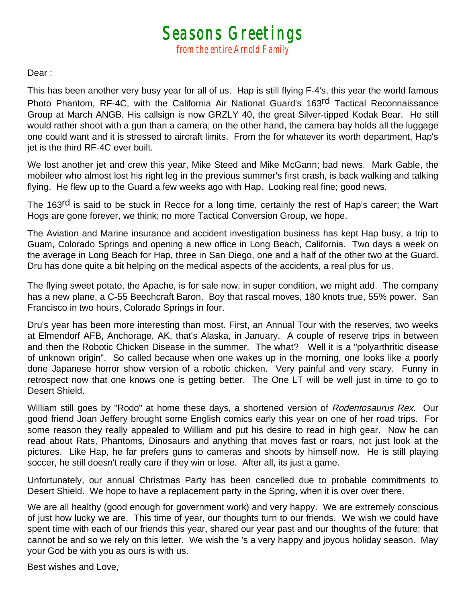*Seasons Greetings from the entire Arnold Family* 

Dear :

This has been another very busy year for all of us. Hap is still flying F-4's, this year the world famous Photo Phantom, RF-4C, with the California Air National Guard's 163<sup>rd</sup> Tactical Reconnaissance Group at March ANGB. His callsign is now GRZLY 40, the great Silver-tipped Kodak Bear. He still would rather shoot with a gun than a camera; on the other hand, the camera bay holds all the luggage one could want and it is stressed to aircraft limits. From the for whatever its worth department, Hap's jet is the third RF-4C ever built.

We lost another jet and crew this year, Mike Steed and Mike McGann; bad news. Mark Gable, the mobileer who almost lost his right leg in the previous summer's first crash, is back walking and talking flying. He flew up to the Guard a few weeks ago with Hap. Looking real fine; good news.

The 163<sup>rd</sup> is said to be stuck in Recce for a long time, certainly the rest of Hap's career; the Wart Hogs are gone forever, we think; no more Tactical Conversion Group, we hope.

The Aviation and Marine insurance and accident investigation business has kept Hap busy, a trip to Guam, Colorado Springs and opening a new office in Long Beach, California. Two days a week on the average in Long Beach for Hap, three in San Diego, one and a half of the other two at the Guard. Dru has done quite a bit helping on the medical aspects of the accidents, a real plus for us.

The flying sweet potato, the Apache, is for sale now, in super condition, we might add. The company has a new plane, a C-55 Beechcraft Baron. Boy that rascal moves, 180 knots true, 55% power. San Francisco in two hours, Colorado Springs in four.

Dru's year has been more interesting than most. First, an Annual Tour with the reserves, two weeks at Elmendorf AFB, Anchorage, AK, that's Alaska, in January. A couple of reserve trips in between and then the Robotic Chicken Disease in the summer. The what? Well it is a "polyarthritic disease of unknown origin". So called because when one wakes up in the morning, one looks like a poorly done Japanese horror show version of a robotic chicken. Very painful and very scary. Funny in retrospect now that one knows one is getting better. The One LT will be well just in time to go to Desert Shield.

William still goes by "Rodo" at home these days, a shortened version of Rodentosaurus Rex. Our good friend Joan Jeffery brought some English comics early this year on one of her road trips. For some reason they really appealed to William and put his desire to read in high gear. Now he can read about Rats, Phantoms, Dinosaurs and anything that moves fast or roars, not just look at the pictures. Like Hap, he far prefers guns to cameras and shoots by himself now. He is still playing soccer, he still doesn't really care if they win or lose. After all, its just a game.

Unfortunately, our annual Christmas Party has been cancelled due to probable commitments to Desert Shield. We hope to have a replacement party in the Spring, when it is over over there.

We are all healthy (good enough for government work) and very happy. We are extremely conscious of just how lucky we are. This time of year, our thoughts turn to our friends. We wish we could have spent time with each of our friends this year, shared our year past and our thoughts of the future; that cannot be and so we rely on this letter. We wish the 's a very happy and joyous holiday season. May your God be with you as ours is with us.

Best wishes and Love,